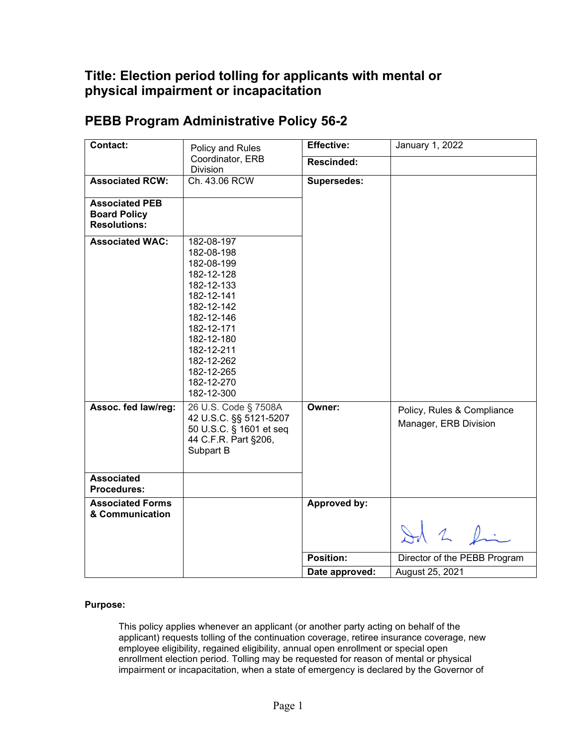## **Title: Election period tolling for applicants with mental or physical impairment or incapacitation**

| Contact:                                                            | Policy and Rules                                                                                                                                                                                               | <b>Effective:</b> | January 1, 2022                                     |
|---------------------------------------------------------------------|----------------------------------------------------------------------------------------------------------------------------------------------------------------------------------------------------------------|-------------------|-----------------------------------------------------|
|                                                                     | Coordinator, ERB<br>Division                                                                                                                                                                                   | <b>Rescinded:</b> |                                                     |
| <b>Associated RCW:</b>                                              | Ch. 43.06 RCW                                                                                                                                                                                                  | Supersedes:       |                                                     |
| <b>Associated PEB</b><br><b>Board Policy</b><br><b>Resolutions:</b> |                                                                                                                                                                                                                |                   |                                                     |
| <b>Associated WAC:</b>                                              | 182-08-197<br>182-08-198<br>182-08-199<br>182-12-128<br>182-12-133<br>182-12-141<br>182-12-142<br>182-12-146<br>182-12-171<br>182-12-180<br>182-12-211<br>182-12-262<br>182-12-265<br>182-12-270<br>182-12-300 |                   |                                                     |
| Assoc. fed law/reg:                                                 | 26 U.S. Code § 7508A<br>42 U.S.C. §§ 5121-5207<br>50 U.S.C. § 1601 et seq<br>44 C.F.R. Part §206,<br>Subpart B                                                                                                 | Owner:            | Policy, Rules & Compliance<br>Manager, ERB Division |
| <b>Associated</b><br><b>Procedures:</b>                             |                                                                                                                                                                                                                |                   |                                                     |
| <b>Associated Forms</b><br>& Communication                          |                                                                                                                                                                                                                | Approved by:      |                                                     |
|                                                                     |                                                                                                                                                                                                                |                   | Id 2 fin                                            |
|                                                                     |                                                                                                                                                                                                                | Position:         | Director of the PEBB Program                        |
|                                                                     |                                                                                                                                                                                                                | Date approved:    | August 25, 2021                                     |

## **PEBB Program Administrative Policy 56-2**

## **Purpose:**

This policy applies whenever an applicant (or another party acting on behalf of the applicant) requests tolling of the continuation coverage, retiree insurance coverage, new employee eligibility, regained eligibility, annual open enrollment or special open enrollment election period. Tolling may be requested for reason of mental or physical impairment or incapacitation, when a state of emergency is declared by the Governor of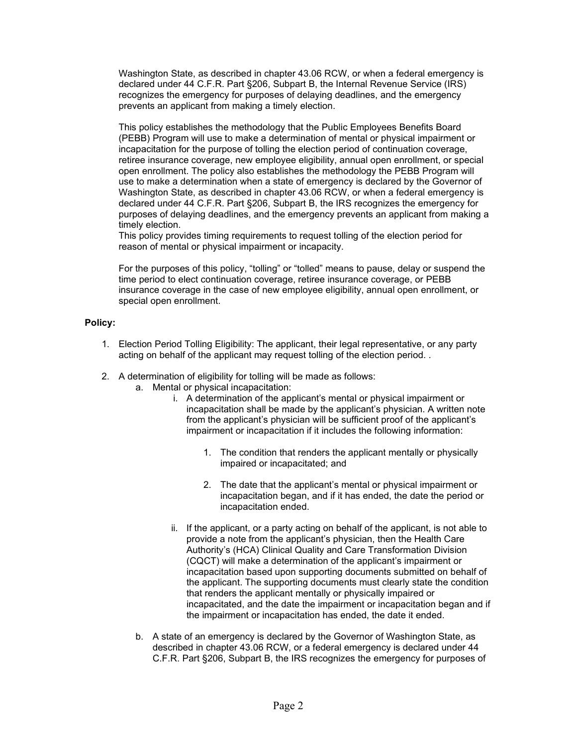Washington State, as described in chapter 43.06 RCW, or when a federal emergency is declared under 44 C.F.R. Part §206, Subpart B, the Internal Revenue Service (IRS) recognizes the emergency for purposes of delaying deadlines, and the emergency prevents an applicant from making a timely election.

This policy establishes the methodology that the Public Employees Benefits Board (PEBB) Program will use to make a determination of mental or physical impairment or incapacitation for the purpose of tolling the election period of continuation coverage, retiree insurance coverage, new employee eligibility, annual open enrollment, or special open enrollment. The policy also establishes the methodology the PEBB Program will use to make a determination when a state of emergency is declared by the Governor of Washington State, as described in chapter 43.06 RCW, or when a federal emergency is declared under 44 C.F.R. Part §206, Subpart B, the IRS recognizes the emergency for purposes of delaying deadlines, and the emergency prevents an applicant from making a timely election.

This policy provides timing requirements to request tolling of the election period for reason of mental or physical impairment or incapacity.

For the purposes of this policy, "tolling" or "tolled" means to pause, delay or suspend the time period to elect continuation coverage, retiree insurance coverage, or PEBB insurance coverage in the case of new employee eligibility, annual open enrollment, or special open enrollment.

## **Policy:**

- 1. Election Period Tolling Eligibility: The applicant, their legal representative, or any party acting on behalf of the applicant may request tolling of the election period. .
- 2. A determination of eligibility for tolling will be made as follows:
	- a. Mental or physical incapacitation:
		- i. A determination of the applicant's mental or physical impairment or incapacitation shall be made by the applicant's physician. A written note from the applicant's physician will be sufficient proof of the applicant's impairment or incapacitation if it includes the following information:
			- 1. The condition that renders the applicant mentally or physically impaired or incapacitated; and
			- 2. The date that the applicant's mental or physical impairment or incapacitation began, and if it has ended, the date the period or incapacitation ended.
		- ii. If the applicant, or a party acting on behalf of the applicant, is not able to provide a note from the applicant's physician, then the Health Care Authority's (HCA) Clinical Quality and Care Transformation Division (CQCT) will make a determination of the applicant's impairment or incapacitation based upon supporting documents submitted on behalf of the applicant. The supporting documents must clearly state the condition that renders the applicant mentally or physically impaired or incapacitated, and the date the impairment or incapacitation began and if the impairment or incapacitation has ended, the date it ended.
	- b. A state of an emergency is declared by the Governor of Washington State, as described in chapter 43.06 RCW, or a federal emergency is declared under 44 C.F.R. Part §206, Subpart B, the IRS recognizes the emergency for purposes of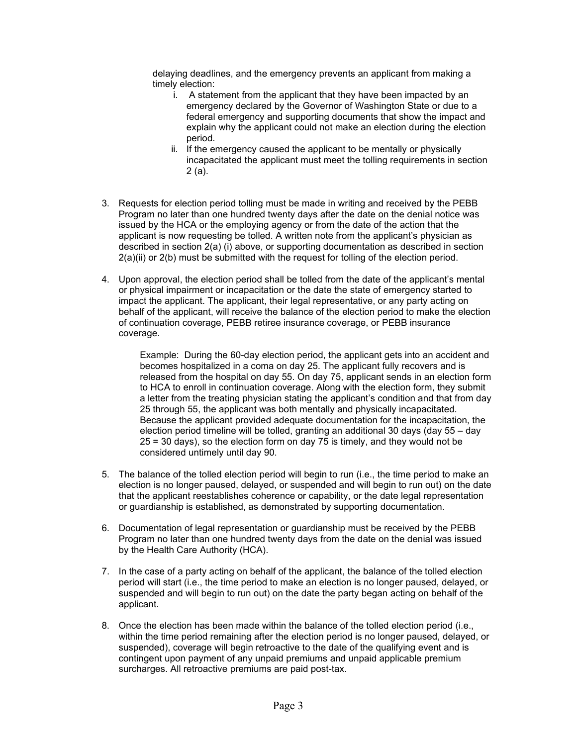delaying deadlines, and the emergency prevents an applicant from making a timely election:

- i. A statement from the applicant that they have been impacted by an emergency declared by the Governor of Washington State or due to a federal emergency and supporting documents that show the impact and explain why the applicant could not make an election during the election period.
- ii. If the emergency caused the applicant to be mentally or physically incapacitated the applicant must meet the tolling requirements in section 2 (a).
- 3. Requests for election period tolling must be made in writing and received by the PEBB Program no later than one hundred twenty days after the date on the denial notice was issued by the HCA or the employing agency or from the date of the action that the applicant is now requesting be tolled. A written note from the applicant's physician as described in section 2(a) (i) above, or supporting documentation as described in section 2(a)(ii) or 2(b) must be submitted with the request for tolling of the election period.
- 4. Upon approval, the election period shall be tolled from the date of the applicant's mental or physical impairment or incapacitation or the date the state of emergency started to impact the applicant. The applicant, their legal representative, or any party acting on behalf of the applicant, will receive the balance of the election period to make the election of continuation coverage, PEBB retiree insurance coverage, or PEBB insurance coverage.

Example: During the 60-day election period, the applicant gets into an accident and becomes hospitalized in a coma on day 25. The applicant fully recovers and is released from the hospital on day 55. On day 75, applicant sends in an election form to HCA to enroll in continuation coverage. Along with the election form, they submit a letter from the treating physician stating the applicant's condition and that from day 25 through 55, the applicant was both mentally and physically incapacitated. Because the applicant provided adequate documentation for the incapacitation, the election period timeline will be tolled, granting an additional 30 days (day 55 – day 25 = 30 days), so the election form on day 75 is timely, and they would not be considered untimely until day 90.

- 5. The balance of the tolled election period will begin to run (i.e., the time period to make an election is no longer paused, delayed, or suspended and will begin to run out) on the date that the applicant reestablishes coherence or capability, or the date legal representation or guardianship is established, as demonstrated by supporting documentation.
- 6. Documentation of legal representation or guardianship must be received by the PEBB Program no later than one hundred twenty days from the date on the denial was issued by the Health Care Authority (HCA).
- 7. In the case of a party acting on behalf of the applicant, the balance of the tolled election period will start (i.e., the time period to make an election is no longer paused, delayed, or suspended and will begin to run out) on the date the party began acting on behalf of the applicant.
- 8. Once the election has been made within the balance of the tolled election period (i.e., within the time period remaining after the election period is no longer paused, delayed, or suspended), coverage will begin retroactive to the date of the qualifying event and is contingent upon payment of any unpaid premiums and unpaid applicable premium surcharges. All retroactive premiums are paid post-tax.